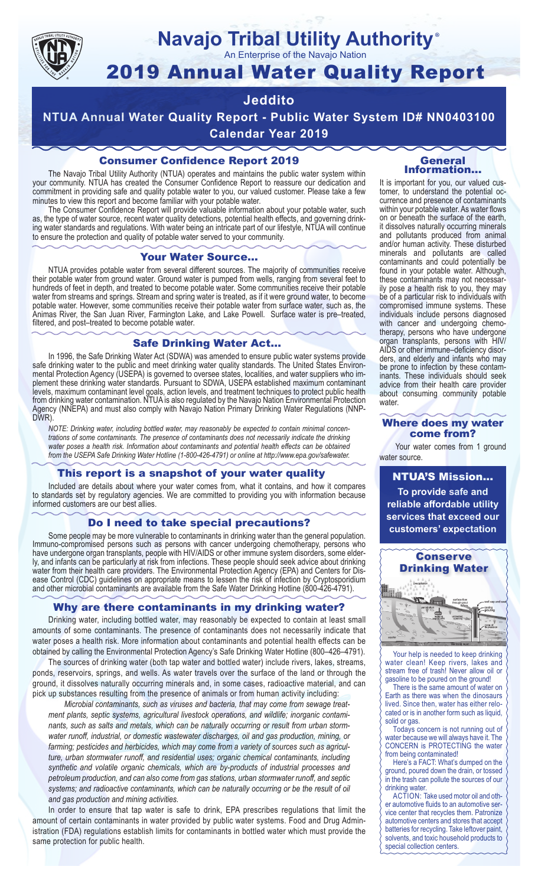

# **Navajo Tribal Utility Authority**

An Enterprise of the Navajo Nation

## 2019 Annual Water Quality Report

#### **Jeddito**

**NTUA Annual Water Quality Report - Public Water System ID# NN0403100 Calendar Year 2019**

#### Consumer Confidence Report 2019

The Navajo Tribal Utility Authority (NTUA) operates and maintains the public water system within your community. NTUA has created the Consumer Confidence Report to reassure our dedication and commitment in providing safe and quality potable water to you, our valued customer. Please take a few minutes to view this report and become familiar with your potable water.

The Consumer Confidence Report will provide valuable information about your potable water, such as, the type of water source, recent water quality detections, potential health effects, and governing drinking water standards and regulations. With water being an intricate part of our lifestyle, NTUA will continue to ensure the protection and quality of potable water served to your community.

#### Your Water Source…

NTUA provides potable water from several different sources. The majority of communities receive their potable water from ground water. Ground water is pumped from wells, ranging from several feet to hundreds of feet in depth, and treated to become potable water. Some communities receive their potable water from streams and springs. Stream and spring water is treated, as if it were ground water, to become potable water. However, some communities receive their potable water from surface water, such as, the Animas River, the San Juan River, Farmington Lake, and Lake Powell. Surface water is pre–treated, filtered, and post–treated to become potable water.

#### Safe Drinking Water Act…

In 1996, the Safe Drinking Water Act (SDWA) was amended to ensure public water systems provide safe drinking water to the public and meet drinking water quality standards. The United States Environmental Protection Agency (USEPA) is governed to oversee states, localities, and water suppliers who implement these drinking water standards. Pursuant to SDWA, USEPA established maximum contaminant levels, maximum contaminant level goals, action levels, and treatment techniques to protect public health from drinking water contamination. NTUA is also regulated by the Navajo Nation Environmental Protection Agency (NNEPA) and must also comply with Navajo Nation Primary Drinking Water Regulations (NNP-DWR)

*NOTE: Drinking water, including bottled water, may reasonably be expected to contain minimal concentrations of some contaminants. The presence of contaminants does not necessarily indicate the drinking water poses a health risk. Information about contaminants and potential health effects can be obtained from the USEPA Safe Drinking Water Hotline (1-800-426-4791) or online at http://www.epa.gov/safewater.*

#### This report is a snapshot of your water quality

Included are details about where your water comes from, what it contains, and how it compares to standards set by regulatory agencies. We are committed to providing you with information because informed customers are our best allies.

#### Do I need to take special precautions?

Some people may be more vulnerable to contaminants in drinking water than the general population. Immuno-compromised persons such as persons with cancer undergoing chemotherapy, persons who have undergone organ transplants, people with HIV/AIDS or other immune system disorders, some elderly, and infants can be particularly at risk from infections. These people should seek advice about drinking water from their health care providers. The Environmental Protection Agency (EPA) and Centers for Disease Control (CDC) guidelines on appropriate means to lessen the risk of infection by Cryptosporidium and other microbial contaminants are available from the Safe Water Drinking Hotline (800-426-4791).

#### Why are there contaminants in my drinking water?

Drinking water, including bottled water, may reasonably be expected to contain at least small amounts of some contaminants. The presence of contaminants does not necessarily indicate that water poses a health risk. More information about contaminants and potential health effects can be obtained by calling the Environmental Protection Agency's Safe Drinking Water Hotline (800–426–4791).

The sources of drinking water (both tap water and bottled water) include rivers, lakes, streams, ponds, reservoirs, springs, and wells. As water travels over the surface of the land or through the ground, it dissolves naturally occurring minerals and, in some cases, radioactive material, and can pick up substances resulting from the presence of animals or from human activity including:

*Microbial contaminants, such as viruses and bacteria, that may come from sewage treatment plants, septic systems, agricultural livestock operations, and wildlife; inorganic contaminants, such as salts and metals, which can be naturally occurring or result from urban stormwater runoff, industrial, or domestic wastewater discharges, oil and gas production, mining, or farming; pesticides and herbicides, which may come from a variety of sources such as agriculture, urban stormwater runoff, and residential uses; organic chemical contaminants, including synthetic and volatile organic chemicals, which are by-products of industrial processes and petroleum production, and can also come from gas stations, urban stormwater runoff, and septic systems; and radioactive contaminants, which can be naturally occurring or be the result of oil and gas production and mining activities.*

In order to ensure that tap water is safe to drink, EPA prescribes regulations that limit the amount of certain contaminants in water provided by public water systems. Food and Drug Administration (FDA) regulations establish limits for contaminants in bottled water which must provide the same protection for public health.

#### General Information…

®

It is important for you, our valued customer, to understand the potential occurrence and presence of contaminants within your potable water. As water flows on or beneath the surface of the earth, it dissolves naturally occurring minerals and pollutants produced from animal and/or human activity. These disturbed minerals and pollutants are called contaminants and could potentially be found in your potable water. Although, these contaminants may not necessarily pose a health risk to you, they may be of a particular risk to individuals with compromised immune systems. These individuals include persons diagnosed with cancer and undergoing chemo-<br>therapy, persons who have undergone organ transplants, persons with HIV/ AIDS or other immune–deficiency disor- ders, and elderly and infants who may be prone to infection by these contam- inants. These individuals should seek advice from their health care provider about consuming community potable water.

#### Where does my water come from?

Your water comes from 1 ground water source.

NTUA'S Mission... **To provide safe and reliable affordable utility services that exceed our customers' expectation**



Your help is needed to keep drinking water clean! Keep rivers, lakes and stream free of trash! Never allow oil or gasoline to be poured on the ground!

There is the same amount of water on Earth as there was when the dinosaurs lived. Since then, water has either relocated or is in another form such as liquid, solid or gas.

Todays concern is not running out of water because we will always have it. The CONCERN is PROTECTING the water from being contaminated!

Here's a FACT: What's dumped on the ground, poured down the drain, or tossed in the trash can pollute the sources of our drinking water.

ACTION: Take used motor oil and other automotive fluids to an automotive service center that recycles them. Patronize automotive centers and stores that accept batteries for recycling. Take leftover paint, solvents, and toxic household products to special collection centers.